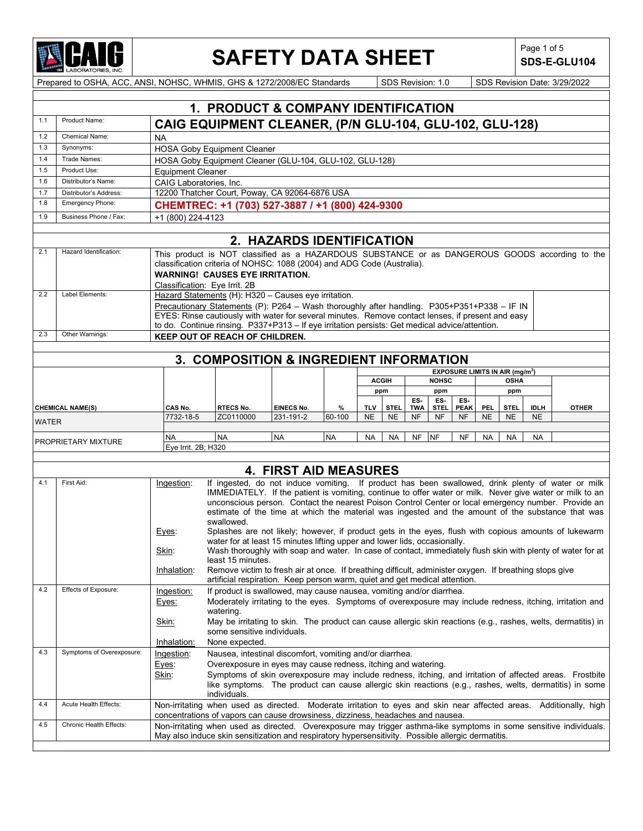

## **SAFETY DATA SHEET** SDS-E-GI

**SDS-E-GLU104**

|              |                           |                                                                                                                                                                                                       | 1. PRODUCT & COMPANY IDENTIFICATION                                                                                                                                                  |                              |           |              |             |                        |              |             |            |                                                  |             |              |
|--------------|---------------------------|-------------------------------------------------------------------------------------------------------------------------------------------------------------------------------------------------------|--------------------------------------------------------------------------------------------------------------------------------------------------------------------------------------|------------------------------|-----------|--------------|-------------|------------------------|--------------|-------------|------------|--------------------------------------------------|-------------|--------------|
| 1.1          | Product Name:             | CAIG EQUIPMENT CLEANER, (P/N GLU-104, GLU-102, GLU-128)                                                                                                                                               |                                                                                                                                                                                      |                              |           |              |             |                        |              |             |            |                                                  |             |              |
| 1.2          | <b>Chemical Name:</b>     | <b>NA</b>                                                                                                                                                                                             |                                                                                                                                                                                      |                              |           |              |             |                        |              |             |            |                                                  |             |              |
| 1.3          | Synonyms:                 | <b>HOSA Goby Equipment Cleaner</b>                                                                                                                                                                    |                                                                                                                                                                                      |                              |           |              |             |                        |              |             |            |                                                  |             |              |
| 1.4          | Trade Names:              | HOSA Goby Equipment Cleaner (GLU-104, GLU-102, GLU-128)                                                                                                                                               |                                                                                                                                                                                      |                              |           |              |             |                        |              |             |            |                                                  |             |              |
| 1.5          | Product Use:              | <b>Equipment Cleaner</b>                                                                                                                                                                              |                                                                                                                                                                                      |                              |           |              |             |                        |              |             |            |                                                  |             |              |
| 1.6          | Distributor's Name:       | CAIG Laboratories, Inc.                                                                                                                                                                               |                                                                                                                                                                                      |                              |           |              |             |                        |              |             |            |                                                  |             |              |
| 1.7          | Distributor's Address:    | 12200 Thatcher Court, Poway, CA 92064-6876 USA                                                                                                                                                        |                                                                                                                                                                                      |                              |           |              |             |                        |              |             |            |                                                  |             |              |
| 1.8          | Emergency Phone:          | CHEMTREC: +1 (703) 527-3887 / +1 (800) 424-9300                                                                                                                                                       |                                                                                                                                                                                      |                              |           |              |             |                        |              |             |            |                                                  |             |              |
| 1.9          | Business Phone / Fax:     | +1 (800) 224-4123                                                                                                                                                                                     |                                                                                                                                                                                      |                              |           |              |             |                        |              |             |            |                                                  |             |              |
|              |                           |                                                                                                                                                                                                       |                                                                                                                                                                                      | 2. HAZARDS IDENTIFICATION    |           |              |             |                        |              |             |            |                                                  |             |              |
| 2.1          | Hazard Identification:    | This product is NOT classified as a HAZARDOUS SUBSTANCE or as DANGEROUS GOODS according to the                                                                                                        |                                                                                                                                                                                      |                              |           |              |             |                        |              |             |            |                                                  |             |              |
|              |                           | classification criteria of NOHSC: 1088 (2004) and ADG Code (Australia).                                                                                                                               |                                                                                                                                                                                      |                              |           |              |             |                        |              |             |            |                                                  |             |              |
|              |                           | <b>WARNING! CAUSES EYE IRRITATION.</b>                                                                                                                                                                |                                                                                                                                                                                      |                              |           |              |             |                        |              |             |            |                                                  |             |              |
|              |                           | Classification: Eye Irrit. 2B                                                                                                                                                                         |                                                                                                                                                                                      |                              |           |              |             |                        |              |             |            |                                                  |             |              |
| 2.2          | Label Elements:           | Hazard Statements (H): H320 - Causes eye irritation.                                                                                                                                                  |                                                                                                                                                                                      |                              |           |              |             |                        |              |             |            |                                                  |             |              |
|              |                           | Precautionary Statements (P): P264 - Wash thoroughly after handling. P305+P351+P338 - IF IN                                                                                                           |                                                                                                                                                                                      |                              |           |              |             |                        |              |             |            |                                                  |             |              |
|              |                           | EYES: Rinse cautiously with water for several minutes. Remove contact lenses, if present and easy<br>to do. Continue rinsing. P337+P313 - If eye irritation persists: Get medical advice/attention.   |                                                                                                                                                                                      |                              |           |              |             |                        |              |             |            |                                                  |             |              |
| 2.3          | Other Warnings:           | <b>KEEP OUT OF REACH OF CHILDREN.</b>                                                                                                                                                                 |                                                                                                                                                                                      |                              |           |              |             |                        |              |             |            |                                                  |             |              |
|              |                           |                                                                                                                                                                                                       |                                                                                                                                                                                      |                              |           |              |             |                        |              |             |            |                                                  |             |              |
|              |                           |                                                                                                                                                                                                       | 3. COMPOSITION & INGREDIENT INFORMATION                                                                                                                                              |                              |           |              |             |                        |              |             |            |                                                  |             |              |
|              |                           |                                                                                                                                                                                                       |                                                                                                                                                                                      |                              |           |              |             |                        |              |             |            | <b>EXPOSURE LIMITS IN AIR (mg/m<sup>3</sup>)</b> |             |              |
|              |                           |                                                                                                                                                                                                       |                                                                                                                                                                                      |                              |           | <b>ACGIH</b> |             |                        | <b>NOHSC</b> |             |            | <b>OSHA</b>                                      |             |              |
|              |                           |                                                                                                                                                                                                       |                                                                                                                                                                                      |                              |           | ppm          |             | ES-                    | ppm<br>ES-   | ES-         |            | ppm                                              |             |              |
|              | <b>CHEMICAL NAME(S)</b>   | CAS No.                                                                                                                                                                                               | RTECS No.                                                                                                                                                                            | EINECS No.                   | %         | TLV          | <b>STEL</b> | TWA                    | STEL.        | <b>PEAK</b> | <b>PEL</b> | <b>STEL</b>                                      | <b>IDLH</b> | <b>OTHER</b> |
| <b>WATER</b> |                           | 7732-18-5                                                                                                                                                                                             | ZC0110000                                                                                                                                                                            | 231-191-2                    | 60-100    | <b>NE</b>    | <b>NE</b>   | NF                     | <b>NF</b>    | NF          | <b>NE</b>  | <b>NE</b>                                        | <b>NE</b>   |              |
|              |                           | NA                                                                                                                                                                                                    | <b>NA</b>                                                                                                                                                                            | <b>NA</b>                    | <b>NA</b> | <b>NA</b>    | NA          | <b>NF</b><br><b>NF</b> |              | NF          | <b>NA</b>  | <b>NA</b>                                        | NA          |              |
|              | PROPRIETARY MIXTURE       | Eye Irrit. 2B; H320                                                                                                                                                                                   |                                                                                                                                                                                      |                              |           |              |             |                        |              |             |            |                                                  |             |              |
|              |                           |                                                                                                                                                                                                       |                                                                                                                                                                                      |                              |           |              |             |                        |              |             |            |                                                  |             |              |
|              |                           |                                                                                                                                                                                                       |                                                                                                                                                                                      | <b>4. FIRST AID MEASURES</b> |           |              |             |                        |              |             |            |                                                  |             |              |
| 4.1          | First Aid:                | Ingestion:                                                                                                                                                                                            | If ingested, do not induce vomiting. If product has been swallowed, drink plenty of water or milk                                                                                    |                              |           |              |             |                        |              |             |            |                                                  |             |              |
|              |                           |                                                                                                                                                                                                       | IMMEDIATELY. If the patient is vomiting, continue to offer water or milk. Never give water or milk to an                                                                             |                              |           |              |             |                        |              |             |            |                                                  |             |              |
|              |                           |                                                                                                                                                                                                       | unconscious person. Contact the nearest Poison Control Center or local emergency number. Provide an                                                                                  |                              |           |              |             |                        |              |             |            |                                                  |             |              |
|              |                           |                                                                                                                                                                                                       | estimate of the time at which the material was ingested and the amount of the substance that was                                                                                     |                              |           |              |             |                        |              |             |            |                                                  |             |              |
|              |                           | Eyes:                                                                                                                                                                                                 | swallowed.<br>Splashes are not likely; however, if product gets in the eyes, flush with copious amounts of lukewarm                                                                  |                              |           |              |             |                        |              |             |            |                                                  |             |              |
|              |                           |                                                                                                                                                                                                       | water for at least 15 minutes lifting upper and lower lids, occasionally.                                                                                                            |                              |           |              |             |                        |              |             |            |                                                  |             |              |
|              |                           | Skin:                                                                                                                                                                                                 | Wash thoroughly with soap and water. In case of contact, immediately flush skin with plenty of water for at                                                                          |                              |           |              |             |                        |              |             |            |                                                  |             |              |
|              |                           |                                                                                                                                                                                                       | least 15 minutes.                                                                                                                                                                    |                              |           |              |             |                        |              |             |            |                                                  |             |              |
|              |                           | Inhalation:                                                                                                                                                                                           | Remove victim to fresh air at once. If breathing difficult, administer oxygen. If breathing stops give<br>artificial respiration. Keep person warm, quiet and get medical attention. |                              |           |              |             |                        |              |             |            |                                                  |             |              |
| 4.2          | Effects of Exposure:      | Ingestion:                                                                                                                                                                                            | If product is swallowed, may cause nausea, vomiting and/or diarrhea.                                                                                                                 |                              |           |              |             |                        |              |             |            |                                                  |             |              |
|              |                           | Eyes:                                                                                                                                                                                                 | Moderately irritating to the eyes. Symptoms of overexposure may include redness, itching, irritation and                                                                             |                              |           |              |             |                        |              |             |            |                                                  |             |              |
|              |                           |                                                                                                                                                                                                       | watering.                                                                                                                                                                            |                              |           |              |             |                        |              |             |            |                                                  |             |              |
|              |                           | Skin:                                                                                                                                                                                                 | May be irritating to skin. The product can cause allergic skin reactions (e.g., rashes, welts, dermatitis) in                                                                        |                              |           |              |             |                        |              |             |            |                                                  |             |              |
|              |                           |                                                                                                                                                                                                       | some sensitive individuals.                                                                                                                                                          |                              |           |              |             |                        |              |             |            |                                                  |             |              |
| 4.3          | Symptoms of Overexposure: | Inhalation:                                                                                                                                                                                           | None expected.<br>Nausea, intestinal discomfort, vomiting and/or diarrhea.                                                                                                           |                              |           |              |             |                        |              |             |            |                                                  |             |              |
|              |                           | Ingestion:<br>Eyes:                                                                                                                                                                                   | Overexposure in eyes may cause redness, itching and watering.                                                                                                                        |                              |           |              |             |                        |              |             |            |                                                  |             |              |
|              |                           | Skin:                                                                                                                                                                                                 | Symptoms of skin overexposure may include redness, itching, and irritation of affected areas. Frostbite                                                                              |                              |           |              |             |                        |              |             |            |                                                  |             |              |
|              |                           |                                                                                                                                                                                                       | like symptoms. The product can cause allergic skin reactions (e.g., rashes, welts, dermatitis) in some                                                                               |                              |           |              |             |                        |              |             |            |                                                  |             |              |
|              |                           |                                                                                                                                                                                                       | individuals.                                                                                                                                                                         |                              |           |              |             |                        |              |             |            |                                                  |             |              |
| 4.4          | Acute Health Effects:     | Non-irritating when used as directed. Moderate irritation to eyes and skin near affected areas. Additionally, high                                                                                    |                                                                                                                                                                                      |                              |           |              |             |                        |              |             |            |                                                  |             |              |
| 4.5          | Chronic Health Effects:   | concentrations of vapors can cause drowsiness, dizziness, headaches and nausea.<br>Non-irritating when used as directed. Overexposure may trigger asthma-like symptoms in some sensitive individuals. |                                                                                                                                                                                      |                              |           |              |             |                        |              |             |            |                                                  |             |              |
|              |                           | May also induce skin sensitization and respiratory hypersensitivity. Possible allergic dermatitis.                                                                                                    |                                                                                                                                                                                      |                              |           |              |             |                        |              |             |            |                                                  |             |              |
|              |                           |                                                                                                                                                                                                       |                                                                                                                                                                                      |                              |           |              |             |                        |              |             |            |                                                  |             |              |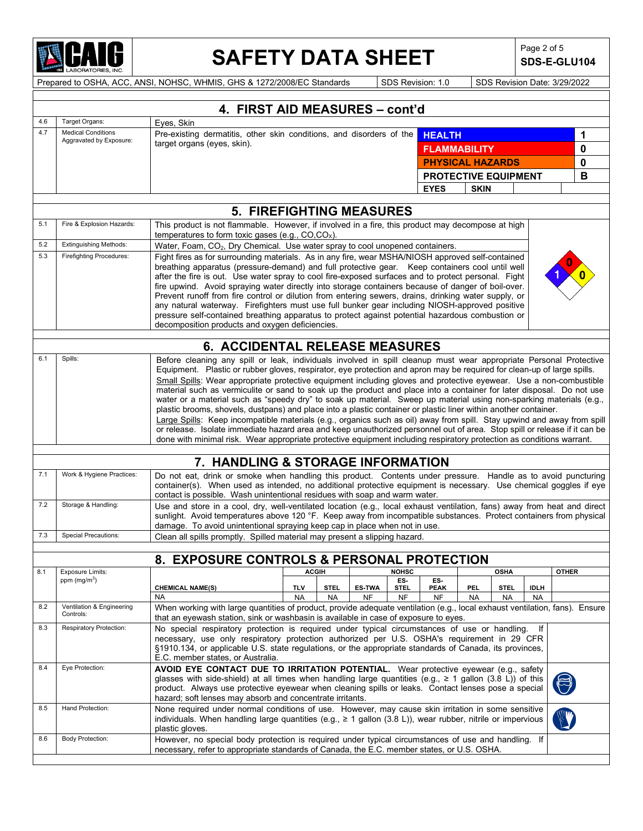

## SAFETY DATA SHEET SDS-E-GL

**SDS-E-GLU104**

|            |                                                                  | 4. FIRST AID MEASURES - cont'd                                                                                                                                                                                                                                                                                                                                                                                                                                                                                                                                                                                                                                                                                                                                                                                                                                                                                                                                                                     |                                                                                                                                                                                                                                                                                                                                                                           |           |               |                     |                             |             |             |             |              |   |
|------------|------------------------------------------------------------------|----------------------------------------------------------------------------------------------------------------------------------------------------------------------------------------------------------------------------------------------------------------------------------------------------------------------------------------------------------------------------------------------------------------------------------------------------------------------------------------------------------------------------------------------------------------------------------------------------------------------------------------------------------------------------------------------------------------------------------------------------------------------------------------------------------------------------------------------------------------------------------------------------------------------------------------------------------------------------------------------------|---------------------------------------------------------------------------------------------------------------------------------------------------------------------------------------------------------------------------------------------------------------------------------------------------------------------------------------------------------------------------|-----------|---------------|---------------------|-----------------------------|-------------|-------------|-------------|--------------|---|
| 4.6        | Target Organs:                                                   | Eyes, Skin                                                                                                                                                                                                                                                                                                                                                                                                                                                                                                                                                                                                                                                                                                                                                                                                                                                                                                                                                                                         |                                                                                                                                                                                                                                                                                                                                                                           |           |               |                     |                             |             |             |             |              |   |
| 4.7        | <b>Medical Conditions</b><br>Aggravated by Exposure:             | Pre-existing dermatitis, other skin conditions, and disorders of the                                                                                                                                                                                                                                                                                                                                                                                                                                                                                                                                                                                                                                                                                                                                                                                                                                                                                                                               |                                                                                                                                                                                                                                                                                                                                                                           |           |               |                     | <b>HEALTH</b>               |             |             |             |              | 1 |
|            |                                                                  | target organs (eyes, skin).                                                                                                                                                                                                                                                                                                                                                                                                                                                                                                                                                                                                                                                                                                                                                                                                                                                                                                                                                                        |                                                                                                                                                                                                                                                                                                                                                                           |           |               |                     | <b>FLAMMABILITY</b>         |             |             |             |              | 0 |
|            |                                                                  |                                                                                                                                                                                                                                                                                                                                                                                                                                                                                                                                                                                                                                                                                                                                                                                                                                                                                                                                                                                                    |                                                                                                                                                                                                                                                                                                                                                                           |           |               |                     | <b>PHYSICAL HAZARDS</b>     |             |             |             |              | 0 |
|            |                                                                  |                                                                                                                                                                                                                                                                                                                                                                                                                                                                                                                                                                                                                                                                                                                                                                                                                                                                                                                                                                                                    |                                                                                                                                                                                                                                                                                                                                                                           |           |               |                     | <b>PROTECTIVE EQUIPMENT</b> |             |             |             |              | B |
|            |                                                                  |                                                                                                                                                                                                                                                                                                                                                                                                                                                                                                                                                                                                                                                                                                                                                                                                                                                                                                                                                                                                    |                                                                                                                                                                                                                                                                                                                                                                           |           |               |                     | <b>EYES</b>                 | <b>SKIN</b> |             |             |              |   |
|            |                                                                  |                                                                                                                                                                                                                                                                                                                                                                                                                                                                                                                                                                                                                                                                                                                                                                                                                                                                                                                                                                                                    |                                                                                                                                                                                                                                                                                                                                                                           |           |               |                     |                             |             |             |             |              |   |
|            |                                                                  | <b>5. FIREFIGHTING MEASURES</b>                                                                                                                                                                                                                                                                                                                                                                                                                                                                                                                                                                                                                                                                                                                                                                                                                                                                                                                                                                    |                                                                                                                                                                                                                                                                                                                                                                           |           |               |                     |                             |             |             |             |              |   |
| 5.1        | Fire & Explosion Hazards:                                        | This product is not flammable. However, if involved in a fire, this product may decompose at high<br>temperatures to form toxic gases (e.g., $CO, CO_x$ ).                                                                                                                                                                                                                                                                                                                                                                                                                                                                                                                                                                                                                                                                                                                                                                                                                                         |                                                                                                                                                                                                                                                                                                                                                                           |           |               |                     |                             |             |             |             |              |   |
| 5.2<br>5.3 | <b>Extinguishing Methods:</b><br><b>Firefighting Procedures:</b> |                                                                                                                                                                                                                                                                                                                                                                                                                                                                                                                                                                                                                                                                                                                                                                                                                                                                                                                                                                                                    | Water, Foam, CO <sub>2</sub> , Dry Chemical. Use water spray to cool unopened containers.                                                                                                                                                                                                                                                                                 |           |               |                     |                             |             |             |             |              |   |
|            |                                                                  | Fight fires as for surrounding materials. As in any fire, wear MSHA/NIOSH approved self-contained<br>breathing apparatus (pressure-demand) and full protective gear.  Keep containers cool until well<br>after the fire is out. Use water spray to cool fire-exposed surfaces and to protect personal. Fight<br>fire upwind. Avoid spraying water directly into storage containers because of danger of boil-over.<br>Prevent runoff from fire control or dilution from entering sewers, drains, drinking water supply, or<br>any natural waterway. Firefighters must use full bunker gear including NIOSH-approved positive<br>pressure self-contained breathing apparatus to protect against potential hazardous combustion or<br>decomposition products and oxygen deficiencies.                                                                                                                                                                                                                |                                                                                                                                                                                                                                                                                                                                                                           |           |               |                     |                             |             |             |             |              |   |
|            |                                                                  | <b>6. ACCIDENTAL RELEASE MEASURES</b>                                                                                                                                                                                                                                                                                                                                                                                                                                                                                                                                                                                                                                                                                                                                                                                                                                                                                                                                                              |                                                                                                                                                                                                                                                                                                                                                                           |           |               |                     |                             |             |             |             |              |   |
| 6.1        | Spills:                                                          | Before cleaning any spill or leak, individuals involved in spill cleanup must wear appropriate Personal Protective                                                                                                                                                                                                                                                                                                                                                                                                                                                                                                                                                                                                                                                                                                                                                                                                                                                                                 |                                                                                                                                                                                                                                                                                                                                                                           |           |               |                     |                             |             |             |             |              |   |
|            |                                                                  | Equipment. Plastic or rubber gloves, respirator, eye protection and apron may be required for clean-up of large spills.<br>Small Spills: Wear appropriate protective equipment including gloves and protective eyewear. Use a non-combustible<br>material such as vermiculite or sand to soak up the product and place into a container for later disposal. Do not use<br>water or a material such as "speedy dry" to soak up material. Sweep up material using non-sparking materials (e.g.,<br>plastic brooms, shovels, dustpans) and place into a plastic container or plastic liner within another container.<br>Large Spills: Keep incompatible materials (e.g., organics such as oil) away from spill. Stay upwind and away from spill<br>or release. Isolate immediate hazard area and keep unauthorized personnel out of area. Stop spill or release if it can be<br>done with minimal risk. Wear appropriate protective equipment including respiratory protection as conditions warrant. |                                                                                                                                                                                                                                                                                                                                                                           |           |               |                     |                             |             |             |             |              |   |
|            |                                                                  |                                                                                                                                                                                                                                                                                                                                                                                                                                                                                                                                                                                                                                                                                                                                                                                                                                                                                                                                                                                                    |                                                                                                                                                                                                                                                                                                                                                                           |           |               |                     |                             |             |             |             |              |   |
|            |                                                                  | 7. HANDLING & STORAGE INFORMATION                                                                                                                                                                                                                                                                                                                                                                                                                                                                                                                                                                                                                                                                                                                                                                                                                                                                                                                                                                  |                                                                                                                                                                                                                                                                                                                                                                           |           |               |                     |                             |             |             |             |              |   |
| 7.1        | Work & Hygiene Practices:                                        | Do not eat, drink or smoke when handling this product. Contents under pressure. Handle as to avoid puncturing<br>container(s). When used as intended, no additional protective equipment is necessary. Use chemical goggles if eye<br>contact is possible. Wash unintentional residues with soap and warm water.                                                                                                                                                                                                                                                                                                                                                                                                                                                                                                                                                                                                                                                                                   |                                                                                                                                                                                                                                                                                                                                                                           |           |               |                     |                             |             |             |             |              |   |
| 7.2        | Storage & Handling:                                              | Use and store in a cool, dry, well-ventilated location (e.g., local exhaust ventilation, fans) away from heat and direct<br>sunlight. Avoid temperatures above 120 °F. Keep away from incompatible substances. Protect containers from physical<br>damage. To avoid unintentional spraying keep cap in place when not in use.                                                                                                                                                                                                                                                                                                                                                                                                                                                                                                                                                                                                                                                                      |                                                                                                                                                                                                                                                                                                                                                                           |           |               |                     |                             |             |             |             |              |   |
| 7.3        | <b>Special Precautions:</b>                                      | Clean all spills promptly. Spilled material may present a slipping hazard.                                                                                                                                                                                                                                                                                                                                                                                                                                                                                                                                                                                                                                                                                                                                                                                                                                                                                                                         |                                                                                                                                                                                                                                                                                                                                                                           |           |               |                     |                             |             |             |             |              |   |
|            |                                                                  |                                                                                                                                                                                                                                                                                                                                                                                                                                                                                                                                                                                                                                                                                                                                                                                                                                                                                                                                                                                                    |                                                                                                                                                                                                                                                                                                                                                                           |           |               |                     |                             |             |             |             |              |   |
|            |                                                                  | 8. EXPOSURE CONTROLS & PERSONAL PROTECTION                                                                                                                                                                                                                                                                                                                                                                                                                                                                                                                                                                                                                                                                                                                                                                                                                                                                                                                                                         |                                                                                                                                                                                                                                                                                                                                                                           |           |               |                     |                             |             |             |             |              |   |
| 8.1        | <b>Exposure Limits:</b><br>ppm (mg/m <sup>3</sup> )              |                                                                                                                                                                                                                                                                                                                                                                                                                                                                                                                                                                                                                                                                                                                                                                                                                                                                                                                                                                                                    |                                                                                                                                                                                                                                                                                                                                                                           |           | <b>ACGIH</b>  | <b>NOHSC</b><br>ES- | ES-                         |             | <b>OSHA</b> |             | <b>OTHER</b> |   |
|            |                                                                  | <b>CHEMICAL NAME(S)</b>                                                                                                                                                                                                                                                                                                                                                                                                                                                                                                                                                                                                                                                                                                                                                                                                                                                                                                                                                                            | TLV                                                                                                                                                                                                                                                                                                                                                                       | STEL.     | <b>ES-TWA</b> | STEL                | <b>PEAK</b>                 | PEL.        | <b>STEL</b> | <b>IDLH</b> |              |   |
| 8.2        | Ventilation & Engineering<br>Controls:                           | NA<br>When working with large quantities of product, provide adequate ventilation (e.g., local exhaust ventilation, fans). Ensure                                                                                                                                                                                                                                                                                                                                                                                                                                                                                                                                                                                                                                                                                                                                                                                                                                                                  | <b>NA</b>                                                                                                                                                                                                                                                                                                                                                                 | <b>NA</b> | <b>NF</b>     | NF                  | <b>NF</b>                   | <b>NA</b>   | <b>NA</b>   | <b>NA</b>   |              |   |
| 8.3        | <b>Respiratory Protection:</b>                                   | that an eyewash station, sink or washbasin is available in case of exposure to eyes.<br>No special respiratory protection is required under typical circumstances of use or handling.<br>lf<br>necessary, use only respiratory protection authorized per U.S. OSHA's requirement in 29 CFR<br>§1910.134, or applicable U.S. state regulations, or the appropriate standards of Canada, its provinces,<br>E.C. member states, or Australia.                                                                                                                                                                                                                                                                                                                                                                                                                                                                                                                                                         |                                                                                                                                                                                                                                                                                                                                                                           |           |               |                     |                             |             |             |             |              |   |
| 8.4        | Eye Protection:                                                  |                                                                                                                                                                                                                                                                                                                                                                                                                                                                                                                                                                                                                                                                                                                                                                                                                                                                                                                                                                                                    | AVOID EYE CONTACT DUE TO IRRITATION POTENTIAL. Wear protective eyewear (e.g., safety<br>glasses with side-shield) at all times when handling large quantities (e.g., $\geq 1$ gallon (3.8 L)) of this<br>product. Always use protective eyewear when cleaning spills or leaks. Contact lenses pose a special<br>hazard; soft lenses may absorb and concentrate irritants. |           |               |                     |                             |             |             |             |              |   |
| 8.5        | Hand Protection:                                                 | None required under normal conditions of use. However, may cause skin irritation in some sensitive<br>individuals. When handling large quantities (e.g., $\geq$ 1 gallon (3.8 L)), wear rubber, nitrile or impervious<br>plastic gloves.                                                                                                                                                                                                                                                                                                                                                                                                                                                                                                                                                                                                                                                                                                                                                           |                                                                                                                                                                                                                                                                                                                                                                           |           |               |                     |                             |             |             |             |              |   |
| 8.6        | <b>Body Protection:</b>                                          | However, no special body protection is required under typical circumstances of use and handling. If<br>necessary, refer to appropriate standards of Canada, the E.C. member states, or U.S. OSHA.                                                                                                                                                                                                                                                                                                                                                                                                                                                                                                                                                                                                                                                                                                                                                                                                  |                                                                                                                                                                                                                                                                                                                                                                           |           |               |                     |                             |             |             |             |              |   |
|            |                                                                  |                                                                                                                                                                                                                                                                                                                                                                                                                                                                                                                                                                                                                                                                                                                                                                                                                                                                                                                                                                                                    |                                                                                                                                                                                                                                                                                                                                                                           |           |               |                     |                             |             |             |             |              |   |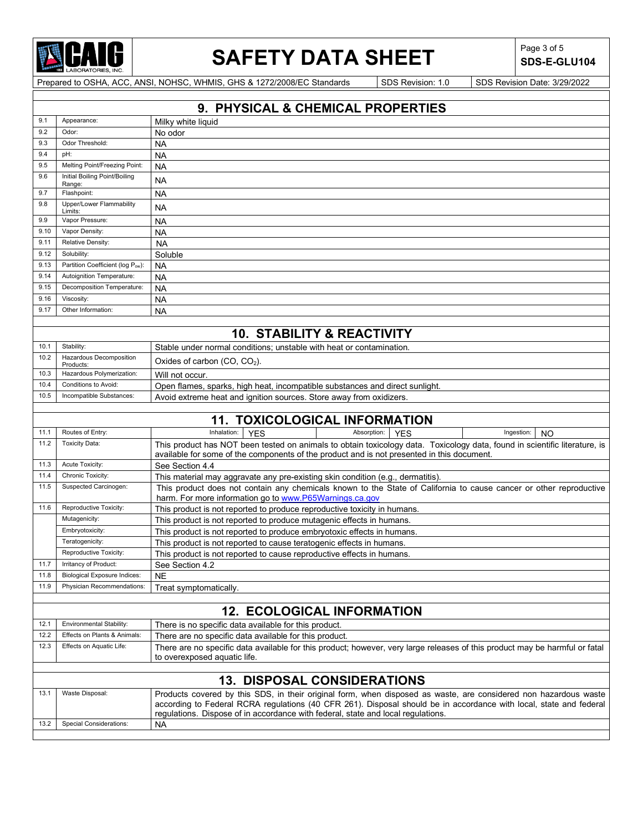

# SAFETY DATA SHEET SDS-E-GI

**SDS-E-GLU104**

|              |                                                                                                                                                                                                                                                                                                                                               | 9. PHYSICAL & CHEMICAL PROPERTIES                                                                                                                                                                                        |  |  |  |  |  |
|--------------|-----------------------------------------------------------------------------------------------------------------------------------------------------------------------------------------------------------------------------------------------------------------------------------------------------------------------------------------------|--------------------------------------------------------------------------------------------------------------------------------------------------------------------------------------------------------------------------|--|--|--|--|--|
| 9.1          | Appearance:                                                                                                                                                                                                                                                                                                                                   | Milky white liquid                                                                                                                                                                                                       |  |  |  |  |  |
| 9.2          | Odor:                                                                                                                                                                                                                                                                                                                                         | No odor                                                                                                                                                                                                                  |  |  |  |  |  |
| 9.3          | Odor Threshold:                                                                                                                                                                                                                                                                                                                               | NA                                                                                                                                                                                                                       |  |  |  |  |  |
| 9.4          | pH:                                                                                                                                                                                                                                                                                                                                           | <b>NA</b>                                                                                                                                                                                                                |  |  |  |  |  |
| 9.5          | Melting Point/Freezing Point:                                                                                                                                                                                                                                                                                                                 | <b>NA</b>                                                                                                                                                                                                                |  |  |  |  |  |
| 9.6          | Initial Boiling Point/Boiling<br>Range:                                                                                                                                                                                                                                                                                                       | <b>NA</b>                                                                                                                                                                                                                |  |  |  |  |  |
| 9.7          | Flashpoint:                                                                                                                                                                                                                                                                                                                                   | NA                                                                                                                                                                                                                       |  |  |  |  |  |
| 9.8          | Upper/Lower Flammability<br>Limits:                                                                                                                                                                                                                                                                                                           | <b>NA</b>                                                                                                                                                                                                                |  |  |  |  |  |
| 9.9          | Vapor Pressure:                                                                                                                                                                                                                                                                                                                               | <b>NA</b>                                                                                                                                                                                                                |  |  |  |  |  |
| 9.10         | Vapor Density:                                                                                                                                                                                                                                                                                                                                | ΝA                                                                                                                                                                                                                       |  |  |  |  |  |
| 9.11         | Relative Density:                                                                                                                                                                                                                                                                                                                             | <b>NA</b>                                                                                                                                                                                                                |  |  |  |  |  |
| 9.12         | Solubility:                                                                                                                                                                                                                                                                                                                                   | Soluble                                                                                                                                                                                                                  |  |  |  |  |  |
| 9.13         | Partition Coefficient (log Pow):                                                                                                                                                                                                                                                                                                              | <b>NA</b>                                                                                                                                                                                                                |  |  |  |  |  |
| 9.14         | Autoignition Temperature:                                                                                                                                                                                                                                                                                                                     | <b>NA</b>                                                                                                                                                                                                                |  |  |  |  |  |
| 9.15         | Decomposition Temperature:                                                                                                                                                                                                                                                                                                                    | <b>NA</b>                                                                                                                                                                                                                |  |  |  |  |  |
| 9.16<br>9.17 | Viscosity:<br>Other Information:                                                                                                                                                                                                                                                                                                              | <b>NA</b>                                                                                                                                                                                                                |  |  |  |  |  |
|              |                                                                                                                                                                                                                                                                                                                                               | <b>NA</b>                                                                                                                                                                                                                |  |  |  |  |  |
|              |                                                                                                                                                                                                                                                                                                                                               | <b>10. STABILITY &amp; REACTIVITY</b>                                                                                                                                                                                    |  |  |  |  |  |
|              |                                                                                                                                                                                                                                                                                                                                               |                                                                                                                                                                                                                          |  |  |  |  |  |
| 10.1<br>10.2 | Stability:<br>Hazardous Decomposition                                                                                                                                                                                                                                                                                                         | Stable under normal conditions; unstable with heat or contamination.                                                                                                                                                     |  |  |  |  |  |
|              | Products:                                                                                                                                                                                                                                                                                                                                     | Oxides of carbon $(CO, CO2)$ .                                                                                                                                                                                           |  |  |  |  |  |
| 10.3         | Hazardous Polymerization:                                                                                                                                                                                                                                                                                                                     | Will not occur.                                                                                                                                                                                                          |  |  |  |  |  |
| 10.4         | Conditions to Avoid:                                                                                                                                                                                                                                                                                                                          | Open flames, sparks, high heat, incompatible substances and direct sunlight.                                                                                                                                             |  |  |  |  |  |
| 10.5         | Incompatible Substances:                                                                                                                                                                                                                                                                                                                      | Avoid extreme heat and ignition sources. Store away from oxidizers.                                                                                                                                                      |  |  |  |  |  |
|              |                                                                                                                                                                                                                                                                                                                                               |                                                                                                                                                                                                                          |  |  |  |  |  |
|              |                                                                                                                                                                                                                                                                                                                                               | <b>11. TOXICOLOGICAL INFORMATION</b>                                                                                                                                                                                     |  |  |  |  |  |
| 11.1         | Routes of Entry:                                                                                                                                                                                                                                                                                                                              | Inhalation:<br><b>YES</b><br>Absorption:<br>Ingestion:<br><b>YES</b><br><b>NO</b>                                                                                                                                        |  |  |  |  |  |
| 11.2         | <b>Toxicity Data:</b>                                                                                                                                                                                                                                                                                                                         | This product has NOT been tested on animals to obtain toxicology data. Toxicology data, found in scientific literature, is<br>available for some of the components of the product and is not presented in this document. |  |  |  |  |  |
| 11.3         | Acute Toxicity:                                                                                                                                                                                                                                                                                                                               | See Section 4.4                                                                                                                                                                                                          |  |  |  |  |  |
| 11.4         | Chronic Toxicity:                                                                                                                                                                                                                                                                                                                             | This material may aggravate any pre-existing skin condition (e.g., dermatitis)                                                                                                                                           |  |  |  |  |  |
| 11.5         | Suspected Carcinogen:                                                                                                                                                                                                                                                                                                                         | This product does not contain any chemicals known to the State of California to cause cancer or other reproductive<br>harm. For more information go to www.P65Warnings.ca.gov                                            |  |  |  |  |  |
| 11.6         | Reproductive Toxicity:                                                                                                                                                                                                                                                                                                                        | This product is not reported to produce reproductive toxicity in humans.                                                                                                                                                 |  |  |  |  |  |
|              | Mutagenicity:                                                                                                                                                                                                                                                                                                                                 | This product is not reported to produce mutagenic effects in humans.                                                                                                                                                     |  |  |  |  |  |
|              | Embryotoxicity:                                                                                                                                                                                                                                                                                                                               | This product is not reported to produce embryotoxic effects in humans.                                                                                                                                                   |  |  |  |  |  |
|              | Teratogenicity:                                                                                                                                                                                                                                                                                                                               | This product is not reported to cause teratogenic effects in humans.                                                                                                                                                     |  |  |  |  |  |
|              | Reproductive Toxicity:                                                                                                                                                                                                                                                                                                                        | This product is not reported to cause reproductive effects in humans.                                                                                                                                                    |  |  |  |  |  |
| 11.7         | Irritancy of Product:                                                                                                                                                                                                                                                                                                                         | See Section 4.2                                                                                                                                                                                                          |  |  |  |  |  |
| 11.8         | Biological Exposure Indices:                                                                                                                                                                                                                                                                                                                  | <b>NE</b>                                                                                                                                                                                                                |  |  |  |  |  |
| 11.9         | <b>Physician Recommendations:</b>                                                                                                                                                                                                                                                                                                             | Treat symptomatically.                                                                                                                                                                                                   |  |  |  |  |  |
|              |                                                                                                                                                                                                                                                                                                                                               |                                                                                                                                                                                                                          |  |  |  |  |  |
|              |                                                                                                                                                                                                                                                                                                                                               | <b>12. ECOLOGICAL INFORMATION</b>                                                                                                                                                                                        |  |  |  |  |  |
| 12.1         | Environmental Stability:<br>Effects on Plants & Animals:                                                                                                                                                                                                                                                                                      | There is no specific data available for this product.                                                                                                                                                                    |  |  |  |  |  |
| 12.2<br>12.3 | Effects on Aquatic Life:                                                                                                                                                                                                                                                                                                                      | There are no specific data available for this product.                                                                                                                                                                   |  |  |  |  |  |
|              |                                                                                                                                                                                                                                                                                                                                               | There are no specific data available for this product; however, very large releases of this product may be harmful or fatal<br>to overexposed aquatic life.                                                              |  |  |  |  |  |
|              |                                                                                                                                                                                                                                                                                                                                               | <b>13. DISPOSAL CONSIDERATIONS</b>                                                                                                                                                                                       |  |  |  |  |  |
| 13.1         | Waste Disposal:<br>Products covered by this SDS, in their original form, when disposed as waste, are considered non hazardous waste<br>according to Federal RCRA regulations (40 CFR 261). Disposal should be in accordance with local, state and federal<br>regulations. Dispose of in accordance with federal, state and local regulations. |                                                                                                                                                                                                                          |  |  |  |  |  |
| 13.2         | <b>Special Considerations:</b>                                                                                                                                                                                                                                                                                                                | NA                                                                                                                                                                                                                       |  |  |  |  |  |
|              |                                                                                                                                                                                                                                                                                                                                               |                                                                                                                                                                                                                          |  |  |  |  |  |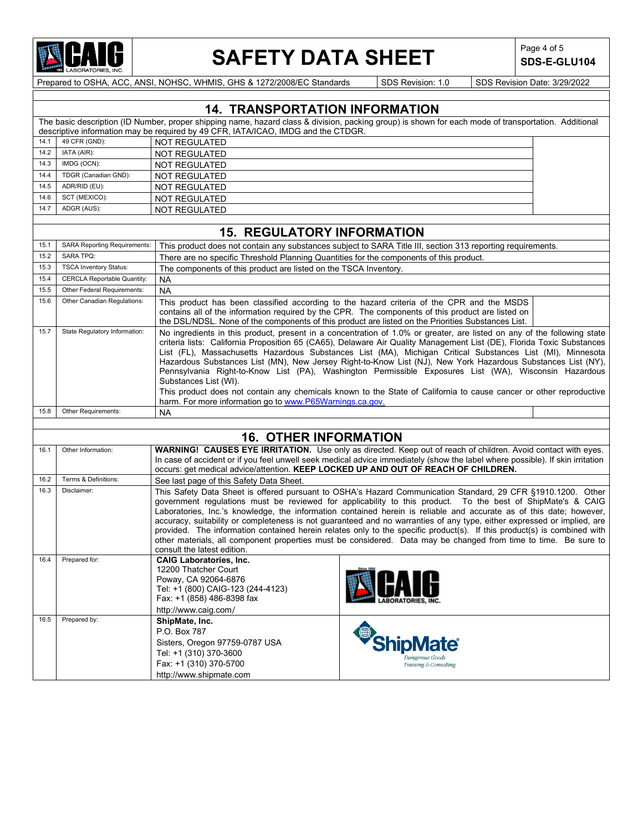

## **SAFETY DATA SHEET** SDS-E-GI

**SDS-E-GLU104**

|      | <b>14. TRANSPORTATION INFORMATION</b>                                                                                                                                                                                                     |                                                                                                                                                                                                                                                                                                                                                                                                                                                                                                                                                                                                                                                                                                                                                            |  |  |  |
|------|-------------------------------------------------------------------------------------------------------------------------------------------------------------------------------------------------------------------------------------------|------------------------------------------------------------------------------------------------------------------------------------------------------------------------------------------------------------------------------------------------------------------------------------------------------------------------------------------------------------------------------------------------------------------------------------------------------------------------------------------------------------------------------------------------------------------------------------------------------------------------------------------------------------------------------------------------------------------------------------------------------------|--|--|--|
|      | The basic description (ID Number, proper shipping name, hazard class & division, packing group) is shown for each mode of transportation. Additional<br>descriptive information may be required by 49 CFR, IATA/ICAO, IMDG and the CTDGR. |                                                                                                                                                                                                                                                                                                                                                                                                                                                                                                                                                                                                                                                                                                                                                            |  |  |  |
| 14.1 | 49 CFR (GND):                                                                                                                                                                                                                             | <b>NOT REGULATED</b>                                                                                                                                                                                                                                                                                                                                                                                                                                                                                                                                                                                                                                                                                                                                       |  |  |  |
| 14.2 | IATA (AIR):                                                                                                                                                                                                                               | <b>NOT REGULATED</b>                                                                                                                                                                                                                                                                                                                                                                                                                                                                                                                                                                                                                                                                                                                                       |  |  |  |
| 14.3 | IMDG (OCN):                                                                                                                                                                                                                               | NOT REGULATED                                                                                                                                                                                                                                                                                                                                                                                                                                                                                                                                                                                                                                                                                                                                              |  |  |  |
| 14.4 | TDGR (Canadian GND):                                                                                                                                                                                                                      | <b>NOT REGULATED</b>                                                                                                                                                                                                                                                                                                                                                                                                                                                                                                                                                                                                                                                                                                                                       |  |  |  |
| 14.5 | ADR/RID (EU):                                                                                                                                                                                                                             | NOT REGULATED                                                                                                                                                                                                                                                                                                                                                                                                                                                                                                                                                                                                                                                                                                                                              |  |  |  |
| 14.6 | SCT (MEXICO):                                                                                                                                                                                                                             | NOT REGULATED                                                                                                                                                                                                                                                                                                                                                                                                                                                                                                                                                                                                                                                                                                                                              |  |  |  |
| 14.7 | ADGR (AUS):                                                                                                                                                                                                                               | <b>NOT REGULATED</b>                                                                                                                                                                                                                                                                                                                                                                                                                                                                                                                                                                                                                                                                                                                                       |  |  |  |
|      |                                                                                                                                                                                                                                           | <b>15. REGULATORY INFORMATION</b>                                                                                                                                                                                                                                                                                                                                                                                                                                                                                                                                                                                                                                                                                                                          |  |  |  |
| 15.1 | <b>SARA Reporting Requirements:</b>                                                                                                                                                                                                       | This product does not contain any substances subject to SARA Title III, section 313 reporting requirements.                                                                                                                                                                                                                                                                                                                                                                                                                                                                                                                                                                                                                                                |  |  |  |
| 15.2 | <b>SARA TPQ:</b>                                                                                                                                                                                                                          | There are no specific Threshold Planning Quantities for the components of this product.                                                                                                                                                                                                                                                                                                                                                                                                                                                                                                                                                                                                                                                                    |  |  |  |
| 15.3 | <b>TSCA Inventory Status:</b>                                                                                                                                                                                                             | The components of this product are listed on the TSCA Inventory.                                                                                                                                                                                                                                                                                                                                                                                                                                                                                                                                                                                                                                                                                           |  |  |  |
| 15.4 | <b>CERCLA Reportable Quantity:</b>                                                                                                                                                                                                        | <b>NA</b>                                                                                                                                                                                                                                                                                                                                                                                                                                                                                                                                                                                                                                                                                                                                                  |  |  |  |
| 15.5 | Other Federal Requirements:                                                                                                                                                                                                               | NA                                                                                                                                                                                                                                                                                                                                                                                                                                                                                                                                                                                                                                                                                                                                                         |  |  |  |
| 15.6 | Other Canadian Regulations:                                                                                                                                                                                                               | This product has been classified according to the hazard criteria of the CPR and the MSDS<br>contains all of the information required by the CPR. The components of this product are listed on<br>the DSL/NDSL. None of the components of this product are listed on the Priorities Substances List.                                                                                                                                                                                                                                                                                                                                                                                                                                                       |  |  |  |
| 15.7 | State Regulatory Information:                                                                                                                                                                                                             | No ingredients in this product, present in a concentration of 1.0% or greater, are listed on any of the following state<br>criteria lists: California Proposition 65 (CA65), Delaware Air Quality Management List (DE), Florida Toxic Substances<br>List (FL), Massachusetts Hazardous Substances List (MA), Michigan Critical Substances List (MI), Minnesota<br>Hazardous Substances List (MN), New Jersey Right-to-Know List (NJ), New York Hazardous Substances List (NY),<br>Pennsylvania Right-to-Know List (PA), Washington Permissible Exposures List (WA), Wisconsin Hazardous<br>Substances List (WI).                                                                                                                                           |  |  |  |
|      |                                                                                                                                                                                                                                           | This product does not contain any chemicals known to the State of California to cause cancer or other reproductive<br>harm. For more information go to www.P65Warnings.ca.gov.                                                                                                                                                                                                                                                                                                                                                                                                                                                                                                                                                                             |  |  |  |
| 15.8 | Other Requirements:                                                                                                                                                                                                                       | <b>NA</b>                                                                                                                                                                                                                                                                                                                                                                                                                                                                                                                                                                                                                                                                                                                                                  |  |  |  |
|      |                                                                                                                                                                                                                                           |                                                                                                                                                                                                                                                                                                                                                                                                                                                                                                                                                                                                                                                                                                                                                            |  |  |  |
|      |                                                                                                                                                                                                                                           | <b>16. OTHER INFORMATION</b>                                                                                                                                                                                                                                                                                                                                                                                                                                                                                                                                                                                                                                                                                                                               |  |  |  |
| 16.1 | Other Information:                                                                                                                                                                                                                        | WARNING! CAUSES EYE IRRITATION. Use only as directed. Keep out of reach of children. Avoid contact with eyes.<br>In case of accident or if you feel unwell seek medical advice immediately (show the label where possible). If skin irritation<br>occurs: get medical advice/attention. KEEP LOCKED UP AND OUT OF REACH OF CHILDREN.                                                                                                                                                                                                                                                                                                                                                                                                                       |  |  |  |
| 16.2 | Terms & Definitions:                                                                                                                                                                                                                      | See last page of this Safety Data Sheet.                                                                                                                                                                                                                                                                                                                                                                                                                                                                                                                                                                                                                                                                                                                   |  |  |  |
| 16.3 | Disclaimer:                                                                                                                                                                                                                               | This Safety Data Sheet is offered pursuant to OSHA's Hazard Communication Standard, 29 CFR §1910.1200. Other<br>government regulations must be reviewed for applicability to this product. To the best of ShipMate's & CAIG<br>Laboratories, Inc.'s knowledge, the information contained herein is reliable and accurate as of this date; however,<br>accuracy, suitability or completeness is not guaranteed and no warranties of any type, either expressed or implied, are<br>provided. The information contained herein relates only to the specific product(s). If this product(s) is combined with<br>other materials, all component properties must be considered. Data may be changed from time to time. Be sure to<br>consult the latest edition. |  |  |  |
| 16.4 | Prepared for:                                                                                                                                                                                                                             | <b>CAIG Laboratories. Inc.</b><br>12200 Thatcher Court<br>Since 1956<br>Poway, CA 92064-6876<br>Tel: +1 (800) CAIG-123 (244-4123)<br>Fax: +1 (858) 486-8398 fax<br>http://www.caig.com/                                                                                                                                                                                                                                                                                                                                                                                                                                                                                                                                                                    |  |  |  |
| 16.5 | Prepared by:                                                                                                                                                                                                                              | ShipMate, Inc.<br>P.O. Box 787<br><i><b>ShipMate®</b></i><br>Sisters, Oregon 97759-0787 USA<br>Tel: +1 (310) 370-3600<br>Dangerous Goods<br>Fax: +1 (310) 370-5700<br>Training & Consulting<br>http://www.shipmate.com                                                                                                                                                                                                                                                                                                                                                                                                                                                                                                                                     |  |  |  |